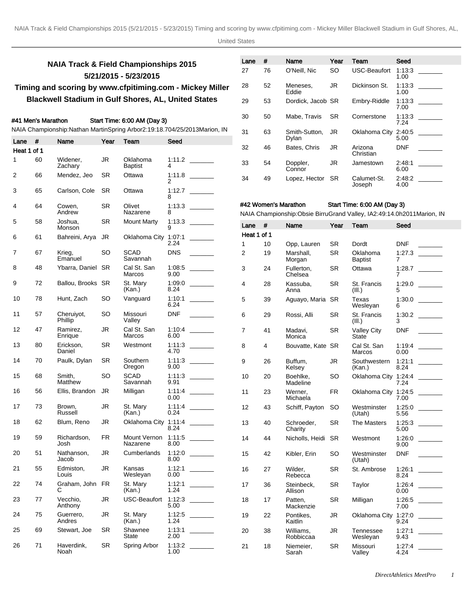# **NAIA Track & Field Championships 2015 5/21/2015 - 5/23/2015 Timing and scoring by www.cfpitiming.com - Mickey Miller**

# **Blackwell Stadium in Gulf Shores, AL, United States**

# #41 Men's Marathon Start Time: 6:00 AM (Day 3)

#### NAIA Championship: Nathan Martin Spring Arbor 2:19:18.70 4/25/2013 Marion, IN

| Lane        | #  | Name                  | Year      | Team                            | Seed           |                                                               |                             |    | Dyian                              |           |                                                                                                      | OU.C           |                                                                                                                                                                                                                                                                                                                                                                                                                                                                                                  |
|-------------|----|-----------------------|-----------|---------------------------------|----------------|---------------------------------------------------------------|-----------------------------|----|------------------------------------|-----------|------------------------------------------------------------------------------------------------------|----------------|--------------------------------------------------------------------------------------------------------------------------------------------------------------------------------------------------------------------------------------------------------------------------------------------------------------------------------------------------------------------------------------------------------------------------------------------------------------------------------------------------|
| Heat 1 of 1 |    |                       |           |                                 |                |                                                               | 32                          | 46 | Bates, Chris                       | JR        | Arizona<br>Christian                                                                                 | <b>DNF</b>     |                                                                                                                                                                                                                                                                                                                                                                                                                                                                                                  |
| 1           | 60 | Widener,<br>Zachary   | <b>JR</b> | Oklahoma<br>Baptist             | 1:11.2<br>4    |                                                               | 33                          | 54 | Doppler,<br>Connor                 | <b>JR</b> | Jamestown                                                                                            | 2:48:1<br>6.00 |                                                                                                                                                                                                                                                                                                                                                                                                                                                                                                  |
| 2           | 66 | Mendez, Jeo           | SR.       | Ottawa                          | $\overline{2}$ |                                                               | 34                          | 49 | Lopez, Hector                      | <b>SR</b> | Calumet-St.                                                                                          | 2:48:2         |                                                                                                                                                                                                                                                                                                                                                                                                                                                                                                  |
| 3           | 65 | Carlson, Cole         | <b>SR</b> | Ottawa                          | 8              | 1:12.7                                                        |                             |    |                                    |           | Joseph                                                                                               | 4.00           |                                                                                                                                                                                                                                                                                                                                                                                                                                                                                                  |
| 4           | 64 | Cowen,<br>Andrew      | <b>SR</b> | Olivet<br>Nazarene              | 8              | 1:13.3                                                        |                             |    | #42 Women's Marathon               |           | Start Time: 6:00 AM (Day 3)<br>NAIA Championship: Obsie Birru Grand Valley, IA 2:49:14.0h 2011Marion |                |                                                                                                                                                                                                                                                                                                                                                                                                                                                                                                  |
| 5           | 58 | Joshua,<br>Monson     | <b>SR</b> | <b>Mount Marty</b>              | 1:13.3<br>9    |                                                               | Lane                        | #  | Name                               | Year      | Team                                                                                                 | Seed           |                                                                                                                                                                                                                                                                                                                                                                                                                                                                                                  |
| 6           | 61 | Bahreini, Arya        | JR        | Oklahoma City 1:07:1            | 2.24           |                                                               | Heat 1 of 1<br>$\mathbf{1}$ | 10 |                                    | SR        | Dordt                                                                                                | <b>DNF</b>     |                                                                                                                                                                                                                                                                                                                                                                                                                                                                                                  |
| 7           | 67 | Krieg,<br>Emanuel     | <b>SO</b> | <b>SCAD</b><br>Savannah         | <b>DNS</b>     |                                                               | 2                           | 19 | Opp, Lauren<br>Marshall,<br>Morgan | <b>SR</b> | Oklahoma<br><b>Baptist</b>                                                                           | 1:27.3<br>7    |                                                                                                                                                                                                                                                                                                                                                                                                                                                                                                  |
| 8           | 48 | Ybarra, Daniel SR     |           | Cal St. San<br>Marcos           | 1:08.5<br>9.00 |                                                               | 3                           | 24 | Fullerton,<br>Chelsea              | <b>SR</b> | Ottawa                                                                                               | 1:28.7<br>7    | $\sim 10^{11}$ m $^{-1}$                                                                                                                                                                                                                                                                                                                                                                                                                                                                         |
| 9           | 72 | Ballou, Brooks SR     |           | St. Mary<br>(Kan.)              | 1:09:0<br>8.24 |                                                               | 4                           | 28 | Kassuba,<br>Anna                   | SR        | St. Francis<br>(III.)                                                                                | 1:29.0<br>5    | $\begin{tabular}{ccccc} \multicolumn{2}{c }{\textbf{1} & \textbf{2} & \textbf{3} & \textbf{4} & \textbf{5} & \textbf{5} & \textbf{6} & \textbf{6} & \textbf{7} & \textbf{8} & \textbf{8} & \textbf{9} & \textbf{10} & \textbf{10} & \textbf{10} & \textbf{10} & \textbf{10} & \textbf{10} & \textbf{10} & \textbf{10} & \textbf{10} & \textbf{10} & \textbf{10} & \textbf{10} & \textbf{10} & \textbf{10} & \textbf{1$                                                                           |
| 10          | 78 | Hunt, Zach            | SO        | Vanguard                        | 1:10:1<br>6.24 |                                                               | 5                           | 39 | Aguayo, Maria SR                   |           | Texas<br>Wesleyan                                                                                    | 1:30.0<br>6    |                                                                                                                                                                                                                                                                                                                                                                                                                                                                                                  |
| 11          | 57 | Cheruiyot,<br>Phillip | SO.       | Missouri<br>Valley              | <b>DNF</b>     |                                                               | 6                           | 29 | Rossi, Alli                        | <b>SR</b> | St. Francis<br>(III.)                                                                                | 1:30.2<br>3    |                                                                                                                                                                                                                                                                                                                                                                                                                                                                                                  |
| 12          | 47 | Ramirez,<br>Enrique   | JR        | Cal St. San<br>Marcos           | 6.00           |                                                               | 7                           | 41 | Madavi,<br>Monica                  | <b>SR</b> | <b>Valley City</b><br><b>State</b>                                                                   | <b>DNF</b>     |                                                                                                                                                                                                                                                                                                                                                                                                                                                                                                  |
| 13          | 80 | Erickson,<br>Daniel   | SR        | Westmont                        | 1:11:3<br>4.70 | $\mathcal{L}^{\text{max}}$ , and $\mathcal{L}^{\text{max}}$   | 8                           | 4  | Bouvatte, Kate SR                  |           | Cal St. San<br>Marcos                                                                                | 1:19:4<br>0.00 |                                                                                                                                                                                                                                                                                                                                                                                                                                                                                                  |
| 14          | 70 | Paulk, Dylan          | <b>SR</b> | Southern<br>Oregon              | 9.00           |                                                               | 9                           | 26 | Buffum,<br>Kelsey                  | JR        | Southwestern<br>(Kan.)                                                                               | 1:21:1<br>8.24 | $\mathcal{L}^{\text{max}}_{\text{max}}$ and $\mathcal{L}^{\text{max}}_{\text{max}}$                                                                                                                                                                                                                                                                                                                                                                                                              |
| 15          | 68 | Smith,<br>Matthew     | SO        | <b>SCAD</b><br>Savannah         | 9.91           |                                                               | 10                          | 20 | Boehlke,<br>Madeline               | SO        | Oklahoma City 1:24:4                                                                                 | 7.24           |                                                                                                                                                                                                                                                                                                                                                                                                                                                                                                  |
| 16          | 56 | Ellis, Brandon        | JR        | Milligan                        | 0.00           |                                                               | 11                          | 23 | Werner,<br>Michaela                | <b>FR</b> | Oklahoma City 1:24:5                                                                                 | 7.00           |                                                                                                                                                                                                                                                                                                                                                                                                                                                                                                  |
| 17          | 73 | Brown,<br>Russell     | JR        | St. Mary<br>(Kan.)              | 0.24           |                                                               | 12                          | 43 | Schiff, Payton                     | SO.       | Westminster<br>(Utah)                                                                                | 1:25:0<br>5.56 | $\sim 10^{11}$ m $^{-1}$                                                                                                                                                                                                                                                                                                                                                                                                                                                                         |
| 18          | 62 | Blum, Reno            | JR        | Oklahoma City 1:11:4            | 8.24           |                                                               | 13                          | 40 | Schroeder,<br>Charity              | <b>SR</b> | The Masters                                                                                          | 1:25:3<br>5.00 | $\begin{tabular}{ll} \multicolumn{2}{c} {\textbf{1}} & \multicolumn{2}{c} {\textbf{1}} & \multicolumn{2}{c} {\textbf{1}} \\ \multicolumn{2}{c} {\textbf{1}} & \multicolumn{2}{c} {\textbf{1}} & \multicolumn{2}{c} {\textbf{1}} \\ \multicolumn{2}{c} {\textbf{1}} & \multicolumn{2}{c} {\textbf{1}} & \multicolumn{2}{c} {\textbf{1}} \\ \multicolumn{2}{c} {\textbf{1}} & \multicolumn{2}{c} {\textbf{1}} & \multicolumn{2}{c} {\textbf{1}} \\ \multicolumn{2}{c} {\textbf{1}} & \multicolumn$ |
| 19          | 59 | Richardson,<br>Josh   | <b>FR</b> | Mount Vernon 1:11:5<br>Nazarene | 8.00           |                                                               | 14                          | 44 | Nicholls, Heidi                    | SR        | Westmont                                                                                             | 1:26:0<br>9.00 |                                                                                                                                                                                                                                                                                                                                                                                                                                                                                                  |
| 20          | 51 | Nathanson,<br>Jacob   | JR        | Cumberlands                     | 1:12:0<br>8.00 | $\mathcal{L}^{\text{max}}$ , where $\mathcal{L}^{\text{max}}$ | 15                          | 42 | Kibler, Erin                       | SO        | Westminster<br>(Utah)                                                                                | <b>DNF</b>     |                                                                                                                                                                                                                                                                                                                                                                                                                                                                                                  |
| 21          | 55 | Edmiston,<br>Louis    | JR        | Kansas<br>Wesleyan              | 1:12:1<br>0.00 |                                                               | 16                          | 27 | Wilder,<br>Rebecca                 | <b>SR</b> | St. Ambrose                                                                                          | 1:26:1<br>8.24 |                                                                                                                                                                                                                                                                                                                                                                                                                                                                                                  |
| 22          | 74 | Graham, John FR<br>С  |           | St. Mary<br>(Kan.)              | 1:12:1<br>1.24 |                                                               | 17                          | 36 | Steinbeck,<br>Allison              | SR        | Taylor                                                                                               | 1:26:4<br>0.00 |                                                                                                                                                                                                                                                                                                                                                                                                                                                                                                  |
| 23          | 77 | Vecchio,<br>Anthony   | JR        | USC-Beaufort                    | 1:12:3<br>5.00 |                                                               | 18                          | 17 | Patten,<br>Mackenzie               | <b>SR</b> | Milligan                                                                                             | 1:26:5<br>7.00 |                                                                                                                                                                                                                                                                                                                                                                                                                                                                                                  |
| 24          | 75 | Guerrero,<br>Andres   | JR        | St. Marv<br>(Kan.)              | 1:12:5<br>1.24 |                                                               | 19                          | 22 | Pontikes,<br>Kaitlin               | JR.       | Oklahoma City 1:27:0                                                                                 | 9.24           |                                                                                                                                                                                                                                                                                                                                                                                                                                                                                                  |
| 25          | 69 | Stewart, Joe          | <b>SR</b> | Shawnee<br>State                | 1:13:1<br>2.00 |                                                               | 20                          | 38 | Williams,<br>Robbiccaa             | JR        | Tennessee<br>Wesleyan                                                                                | 1:27:1<br>9.43 |                                                                                                                                                                                                                                                                                                                                                                                                                                                                                                  |
| 26          | 71 | Haverdink,<br>Noah    | <b>SR</b> | Spring Arbor                    | 1:13.2<br>1.00 |                                                               | 21                          | 18 | Niemeier,<br>Sarah                 | <b>SR</b> | Missouri<br>Vallev                                                                                   | 1:27:4<br>4.24 |                                                                                                                                                                                                                                                                                                                                                                                                                                                                                                  |

| Lane | #  | Name                   | Year      | Team                  | Seed           |
|------|----|------------------------|-----------|-----------------------|----------------|
| 27   | 76 | O'Neill. Nic           | SO        | <b>USC-Beaufort</b>   | 1.13.3<br>1.00 |
| 28   | 52 | Meneses.<br>Eddie      | JR.       | Dickinson St.         | 1:13:3<br>1.00 |
| 29   | 53 | Dordick, Jacob SR      |           | Embry-Riddle          | 1:13:3<br>7.00 |
| 30   | 50 | Mabe. Travis           | <b>SR</b> | Cornerstone           | 1:13:3<br>7.24 |
| 31   | 63 | Smith-Sutton.<br>Dylan | JR        | Oklahoma City         | 2:40:5<br>5.00 |
| 32   | 46 | Bates, Chris           | JR.       | Arizona<br>Christian  | <b>DNF</b>     |
| 33   | 54 | Doppler,<br>Connor     | JR        | Jamestown             | 2:48:1<br>6.00 |
| 34   | 49 | Lopez, Hector          | SR.       | Calumet-St.<br>Joseph | 2:48:2<br>4.00 |

# Start Time: 6:00 AM (Day 3)

Valley

| DirectAthletics MeetPro |  |
|-------------------------|--|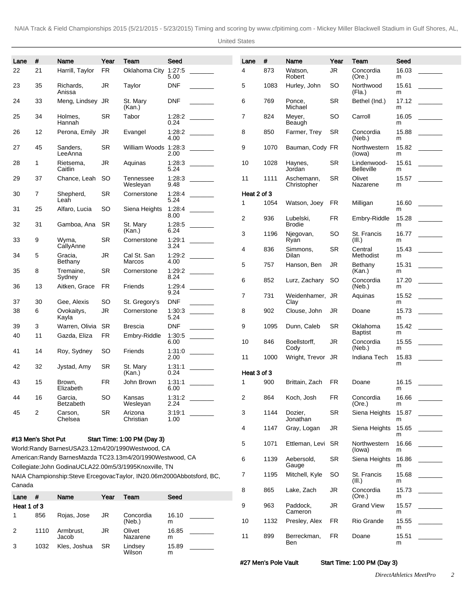United States

| Lane         | #                  | <b>Name</b>             | Year      | Team                                                                                                                        | Seed               |                          | Lane           | #    | Name                       | Year      | Team                             | Seed       |       |
|--------------|--------------------|-------------------------|-----------|-----------------------------------------------------------------------------------------------------------------------------|--------------------|--------------------------|----------------|------|----------------------------|-----------|----------------------------------|------------|-------|
| 22           | 21                 | Harrill, Taylor         | <b>FR</b> | Oklahoma City                                                                                                               | 1:27:5<br>5.00     |                          | 4              | 873  | Watson,<br>Robert          | <b>JR</b> | Concordia<br>(Ore.)              | 16.03<br>m |       |
| 23           | 35                 | Richards,<br>Anissa     | <b>JR</b> | Taylor                                                                                                                      | <b>DNF</b>         |                          | 5              | 1083 | Hurley, John               | <b>SO</b> | Northwood<br>(Fla.)              | 15.61<br>m |       |
| 24           | 33                 | Meng, Lindsey JR        |           | St. Mary<br>(Kan.)                                                                                                          | <b>DNF</b>         |                          | 6              | 769  | Ponce,<br>Michael          | <b>SR</b> | Bethel (Ind.)                    | 17.12<br>m |       |
| 25           | 34                 | Holmes,<br>Hannah       | <b>SR</b> | Tabor                                                                                                                       | 0.24               |                          | $\overline{7}$ | 824  | Meyer,<br>Beaugh           | <b>SO</b> | Carroll                          | 16.05<br>m |       |
| 26           | 12                 | Perona, Emily           | JR        | Evangel                                                                                                                     | 4.00               |                          | 8              | 850  | Farmer, Trey               | <b>SR</b> | Concordia<br>(Neb.)              | 15.88<br>m |       |
| 27           | 45                 | Sanders,<br>LeeAnna     | <b>SR</b> | William Woods 1:28:3                                                                                                        | 2.00               |                          | 9              | 1070 | Bauman, Cody FR            |           | Northwestern<br>(lowa)           | 15.82<br>m |       |
| 28           | 1                  | Rietsema,<br>Caitlin    | <b>JR</b> | Aquinas                                                                                                                     | 5.24               |                          | 10             | 1028 | Haynes,<br>Jordan          | <b>SR</b> | Lindenwood-<br><b>Belleville</b> | m          | 15.61 |
| 29           | 37                 | Chance, Leah            | SO.       | Tennessee<br>Wesleyan                                                                                                       | 9.48               |                          | 11             | 1111 | Aschemann,<br>Christopher  | <b>SR</b> | Olivet<br>Nazarene               | m          | 15.57 |
| 30           | $\overline{7}$     | Shepherd,               | <b>SR</b> | Cornerstone                                                                                                                 |                    |                          | Heat 2 of 3    |      |                            |           |                                  |            |       |
| 31           | 25                 | Leah<br>Alfaro, Lucia   | SO        | Siena Heights                                                                                                               | 5.24               |                          | 1              | 1054 | Watson, Joey               | FR        | Milligan                         | m          | 16.60 |
| 32           | 31                 | Gamboa, Ana             | SR        | St. Mary                                                                                                                    | 8.00<br>1:28.5     | <b>Contract Contract</b> | $\overline{2}$ | 936  | Lubelski.<br><b>Brodie</b> | <b>FR</b> | Embry-Riddle                     | 15.28<br>m |       |
| 33           | 9                  | Wyma,                   | <b>SR</b> | (Kan.)<br>Cornerstone                                                                                                       | 6.24               |                          | 3              | 1196 | Njegovan,<br>Ryan          | <b>SO</b> | St. Francis<br>(III.)            | 16.77<br>m |       |
| 34           | 5                  | CallyAnne<br>Gracia,    | <b>JR</b> | Cal St. San                                                                                                                 | 3.24<br>1:29:2     |                          | 4              | 836  | Simmons.<br><b>Dilan</b>   | <b>SR</b> | Central<br>Methodist             | 15.43<br>m |       |
| 35           | 8                  | Bethany<br>Tremaine,    | <b>SR</b> | Marcos<br>Cornerstone                                                                                                       | 4.00               |                          | 5              | 757  | Hanson, Ben                | JR        | Bethany<br>(Kan.)                | 15.31<br>m |       |
| 36           | 13                 | Sydney<br>Aitken, Grace | <b>FR</b> | Friends                                                                                                                     | 8.24<br>1:29:4     |                          | 6              | 852  | Lurz, Zachary              | SO.       | Concordia<br>(Neb.)              | m          | 17.20 |
| 37           | 30                 | Gee, Alexis             | <b>SO</b> | St. Gregory's                                                                                                               | 9.24<br><b>DNF</b> |                          | $\overline{7}$ | 731  | Weidenhamer, JR<br>Clay    |           | Aquinas                          | m          |       |
| 38           | 6                  | Ovokaitys,<br>Kayla     | <b>JR</b> | Cornerstone                                                                                                                 | 1:30:3<br>5.24     | $\frac{1}{2}$            | 8              | 902  | Clouse, John               | JR        | Doane                            | m          | 15.73 |
| 39           | 3                  | Warren, Olivia          | SR        | <b>Brescia</b>                                                                                                              | <b>DNF</b>         |                          | 9              | 1095 | Dunn, Caleb                | <b>SR</b> | Oklahoma                         |            |       |
| 40           | 11                 | Gazda, Eliza            | FR        | Embry-Riddle                                                                                                                | 1:30:5<br>6.00     |                          | 10             | 846  | Boellstorff,               | JR.       | <b>Baptist</b><br>Concordia      | m<br>15.55 |       |
| 41           | 14                 | Roy, Sydney             | SO        | Friends                                                                                                                     | 2.00               |                          | 11             | 1000 | Cody<br>Wright, Trevor JR  |           | (Neb.)<br>Indiana Tech           | m<br>15.83 |       |
| 42           | 32                 | Jystad, Amy             | <b>SR</b> | St. Mary<br>(Kan.)                                                                                                          | 1:31:1<br>0.24     |                          | Heat 3 of 3    |      |                            |           |                                  | m          |       |
| 43           | 15                 | Brown,<br>Elizabeth     | FR        | John Brown                                                                                                                  | 1:31:1<br>6.00     |                          | $\mathbf{1}$   | 900  | Brittain, Zach             | FR        | Doane                            | 16.15<br>m |       |
| 44           | 16                 | Garcia,<br>Betzabeth    | SO        | Kansas<br>Wesleyan                                                                                                          | 1:31:2<br>2.24     |                          | 2              | 864  | Koch, Josh                 | FR        | Concordia<br>(Ore.)              | 16.66<br>m |       |
| 45           | $\overline{c}$     | Carson,<br>Chelsea      | SR        | Arizona<br>Christian                                                                                                        | 3:19:1<br>1.00     |                          | 3              | 1144 | Dozier,<br>Jonathan        | <b>SR</b> | Siena Heights                    | 15.87<br>m |       |
|              | #13 Men's Shot Put |                         |           | Start Time: 1:00 PM (Day 3)                                                                                                 |                    |                          | 4              | 1147 | Gray, Logan                | JR.       | Siena Heights 15.65              | m          |       |
|              |                    |                         |           | World: Randy Barnes USA 23.12m 4/20/1990 Westwood, CA                                                                       |                    |                          | 5              | 1071 | Ettleman, Levi SR          |           | Northwestern<br>(lowa)           | 16.66<br>m |       |
|              |                    |                         |           | American: Randy Barnes Mazda TC 23.13m 4/20/1990 Westwood, CA<br>Collegiate: John Godina UCLA 22.00m 5/3/1995 Knoxville, TN |                    |                          | 6              | 1139 | Aebersold,<br>Gauge        | <b>SR</b> | Siena Heights                    | 16.86<br>m |       |
| Canada       |                    |                         |           | NAIA Championship: Steve Ercegovac Taylor, IN 20.06m 2000Abbotsford, BC,                                                    |                    |                          | 7              | 1195 | Mitchell, Kyle             | SO.       | St. Francis<br>(III.)            | 15.68<br>m |       |
| Lane #       |                    | Name                    | Year      | Team                                                                                                                        | Seed               |                          | 8              | 865  | Lake, Zach                 | JR.       | Concordia<br>(Ore.)              | 15.73<br>m |       |
| Heat 1 of 3  |                    |                         |           |                                                                                                                             |                    |                          | 9              | 963  | Paddock,                   | JR.       | <b>Grand View</b>                | 15.57      |       |
| $\mathbf{1}$ | 856                | Rojas, Jose             | JR        | Concordia                                                                                                                   | 16.10              |                          |                |      | Cameron                    |           |                                  | m          |       |
| 2            | 1110               | Armbrust,               | JR        | (Neb.)<br>Olivet                                                                                                            | m<br>16.85         |                          | 10             | 1132 | Presley, Alex              | FR        | Rio Grande                       | 15.55<br>m |       |
|              |                    | Jacob                   |           | Nazarene                                                                                                                    | m                  |                          | 11             | 899  | Berreckman,                | <b>FR</b> | Doane                            | 15.51      |       |

#27 Men's Pole Vault Start Time: 1:00 PM (Day 3)

Ben

15.89 m

 $\overline{\phantom{a}}$ 

Wilson

3 1032 Kles, Joshua SR Lindsey

m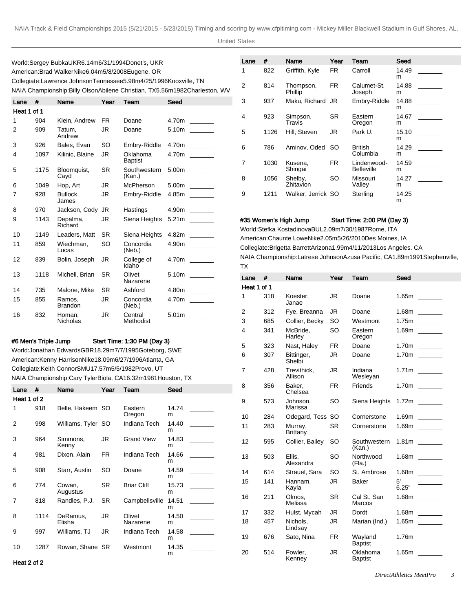World: Sergey Bubka UKR 6.14m 6/31/1994 Donet's, UKR American: Brad Walker Nike 6.04m 5/8/2008 Eugene, OR Collegiate: Lawrence Johnson Tennessee 5.98m 4/25/1996 Knoxville, TN NAIA Championship: Billy Olson Abilene Christian, TX 5.56m 1982Charleston, WV

| Lane        | #    | Name                      | Year      | Team                       | Seed                    |
|-------------|------|---------------------------|-----------|----------------------------|-------------------------|
| Heat 1 of 1 |      |                           |           |                            |                         |
| 1           | 904  | Klein, Andrew             | <b>FR</b> | Doane                      | 4.70m                   |
| 2           | 909  | Tatum.<br>Andrew          | JR        | Doane                      | 5.10m                   |
| 3           | 926  | Bales, Evan               | SO        | Embry-Riddle               | 4.70m                   |
| 4           | 1097 | Kilinic, Blaine           | JR        | Oklahoma<br><b>Baptist</b> | 4.70m                   |
| 5           | 1175 | Bloomquist,<br>Cayd       | <b>SR</b> | Southwestern<br>(Kan.)     | 5.00m                   |
| 6           | 1049 | Hop, Art                  | JR        | McPherson                  | 5.00m                   |
| 7           | 928  | Bullock.<br>James         | JR        | Embry-Riddle               | 4.85m                   |
| 8           | 970  | Jackson, Cody             | JR        | Hastings                   | 4.90m<br>$\sim 10^{11}$ |
| 9           | 1143 | Depalma,<br>Richard       | JR.       | Siena Heights              | 5.21 <sub>m</sub>       |
| 10          | 1149 | Leaders, Matt             | <b>SR</b> | Siena Heights              | 4.82m                   |
| 11          | 859  | Wiechman.<br>Lucas        | SO        | Concordia<br>(Neb.)        | 4.90m                   |
| 12          | 839  | Bolin, Joseph             | JR        | College of<br>Idaho        | 4.70m                   |
| 13          | 1118 | Michell, Brian            | SR        | Olivet<br>Nazarene         | 5.10m                   |
| 14          | 735  | Malone, Mike              | SR        | Ashford                    | 4.80m                   |
| 15          | 855  | Ramos.<br><b>Brandon</b>  | JR        | Concordia<br>(Neb.)        | 4.70m                   |
| 16          | 832  | Homan,<br><b>Nicholas</b> | JR        | Central<br>Methodist       | 5.01 <sub>m</sub>       |

# #6 Men's Triple Jump Start Time: 1:30 PM (Day 3)

World: Jonathan Edwards GBR 18.29m 7/7/1995 Goteborg, SWE American: Kenny Harrison Nike 18.09m 6/27/1996 Atlanta, GA Collegiate: Keith Connor SMU 17.57m 5/5/1982 NAIA Championship: Cary Tyler Biola, CA 16.32

| Lane        | #    | Name               | Year | Team               | Seed       |  |
|-------------|------|--------------------|------|--------------------|------------|--|
| Heat 1 of 2 |      |                    |      |                    |            |  |
| 1           | 918  | Belle, Hakeem SO   |      | Eastern<br>Oregon  | 14.74<br>m |  |
| 2           | 998  | Williams, Tyler SO |      | Indiana Tech       | 14.40<br>m |  |
| 3           | 964  | Simmons,<br>Kenny  | JR   | <b>Grand View</b>  | 14.83<br>m |  |
| 4           | 981  | Dixon, Alain       | FR.  | Indiana Tech       | 14.66<br>m |  |
| 5           | 908  | Starr, Austin      | SO   | Doane              | 14.59<br>m |  |
| 6           | 774  | Cowan,<br>Augustus | SR.  | <b>Briar Cliff</b> | 15.73<br>m |  |
| 7           | 818  | Randles, P.J.      | SR   | Campbellsville     | 14.51<br>m |  |
| 8           | 1114 | DeRamus,<br>Elisha | JR   | Olivet<br>Nazarene | 14.50<br>m |  |
| 9           | 997  | Williams, TJ       | JR   | Indiana Tech       | 14.58<br>m |  |
| 10          | 1287 | Rowan, Shane SR    |      | Westmont           | 14.35<br>m |  |

| 95 Atlanta, GA |                    |  |    |   |  |  |
|----------------|--------------------|--|----|---|--|--|
|                | Provo, UT          |  |    |   |  |  |
|                | 2m 1981Houston, TX |  |    |   |  |  |
|                | Seed               |  | 8  | 3 |  |  |
|                |                    |  | 9  | 5 |  |  |
| 'n<br>n        | 14.74<br>m         |  |    |   |  |  |
|                |                    |  | 10 | 2 |  |  |
| a Tech         | 14.40              |  | 11 |   |  |  |

| Lane           | #    | Name                 | Year | Team                             | Seed       |  |
|----------------|------|----------------------|------|----------------------------------|------------|--|
| 1              | 822  | Griffith, Kyle       | FR.  | Carroll                          | 14.49<br>m |  |
| $\overline{2}$ | 814  | Thompson,<br>Phillip | FR.  | Calumet-St.<br>Joseph            | 14.88<br>m |  |
| 3              | 937  | Maku, Richard JR     |      | Embry-Riddle                     | 14.88<br>m |  |
| 4              | 923  | Simpson,<br>Travis   | SR.  | Eastern<br>Oregon                | 14.67<br>m |  |
| 5              | 1126 | Hill. Steven         | JR   | Park U.                          | 15.10<br>m |  |
| 6              | 786  | Aminov. Oded         | SO   | <b>British</b><br>Columbia       | 14.29<br>m |  |
| 7              | 1030 | Kusena.<br>Shingai   | FR.  | Lindenwood-<br><b>Belleville</b> | 14.59<br>m |  |
| 8              | 1056 | Shelby,<br>Zhitavion | SO   | Missouri<br>Valley               | 14.27<br>m |  |
| 9              | 1211 | Walker, Jerrick SO   |      | Sterling                         | 14.25      |  |

#35 Women's High Jump Start Time: 2:00 PM (Day 3)

m

World: Stefka Kostadinova BUL 2.09m 7/30/1987 Rome, ITA American: Chaunte Lowe Nike 2.05m 5/26/2010 Des Moines, IA Collegiate: Brigetta Barrett Arizona 1.99m 4/11/2013 Los Angeles. CA NAIA Championship: Latrese Johnson Azusa Pacific, CA 1.89m 1991Stephenville, TX

| Lane        | #   | Name                   | Year      | Team                       | Seed                              |
|-------------|-----|------------------------|-----------|----------------------------|-----------------------------------|
| Heat 1 of 1 |     |                        |           |                            |                                   |
| 1           | 318 | Koester.<br>Janae      | JR        | Doane                      | 1.65m                             |
| 2           | 312 | Fye, Breanna           | JR        | Doane                      | 1.68m                             |
| 3           | 685 | Collier, Becky         | SO        | Westmont                   | 1.75m<br><u>and the state</u>     |
| 4           | 341 | McBride.<br>Harley     | SO        | Eastern<br>Oregon          | 1.69m<br>$\sim 10^{11}$ m $^{-1}$ |
| 5           | 323 | Nast, Haley            | FR        | Doane                      | 1.70m                             |
| 6           | 307 | Bittinger,<br>Shelbi   | JR.       | Doane                      | 1.70m<br>$\sim$                   |
| 7           | 428 | Trevithick.<br>Allison | JR        | Indiana<br>Wesleyan        | 1.71 <sub>m</sub>                 |
| 8           | 356 | Baker.<br>Chelsea      | <b>FR</b> | Friends                    | 1.70m                             |
| 9           | 573 | Johnson.<br>Marissa    | SO        | Siena Heights              | 1.72m                             |
| 10          | 284 | Odegard, Tess SO       |           | Cornerstone                | 1.69m<br><u>and the state</u>     |
| 11          | 283 | Murray,<br>Brittany    | <b>SR</b> | Cornerstone                | 1.69m                             |
| 12          | 595 | Collier, Bailey        | SO        | Southwestern<br>(Kan.)     | 1.81m                             |
| 13          | 503 | Ellis.<br>Alexandra    | SO        | Northwood<br>(Fla.)        | 1.68m                             |
| 14          | 614 | Strauel, Sara          | SO        | St. Ambrose                | 1.68m                             |
| 15          | 141 | Hannam,<br>Kayla       | JR.       | Baker                      | 5'<br>6.25"                       |
| 16          | 211 | Olmos,<br>Melissa      | <b>SR</b> | Cal St. San<br>Marcos      | 1.68m                             |
| 17          | 332 | Hulst, Mycah           | <b>JR</b> | Dordt                      | 1.68m                             |
| 18          | 457 | Nichols.<br>Lindsay    | <b>JR</b> | Marian (Ind.)              | 1.65m                             |
| 19          | 676 | Sato, Nina             | <b>FR</b> | Wayland<br><b>Baptist</b>  | 1.76m                             |
| 20          | 514 | Fowler,<br>Kenney      | JR.       | Oklahoma<br><b>Baptist</b> | 1.65m                             |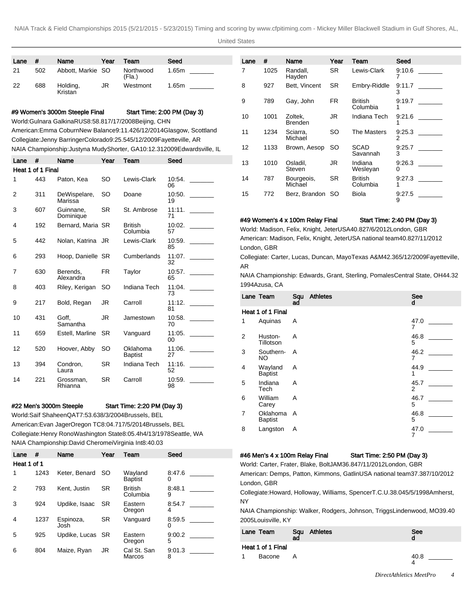United States

| Lane | #   | Name                | Year | Team                | Seed  |
|------|-----|---------------------|------|---------------------|-------|
| 21   | 502 | Abbott, Markie SO   |      | Northwood<br>(Fla.) | 1.65m |
| 22   | 688 | Holding,<br>Kristan | JR   | Westmont            | 1.65m |

# #9 Women's 3000m Steeple Final Start Time: 2:00 PM (Day 3)

World: Gulnara Galkina RUS 8:58.81 7/17/2008 Beijing, CHN

American: Emma Coburn New Balance 9:11.42 6/12/2014 Glasgow, Scottland Collegiate: Jenny Barringer Colorado 9:25.54 5/12/2009 Fayetteville, AR NAIA Championship: Justyna Mudy Shorter, GA 10:12.31 2009Edwardsville, IL

| Lane | #                 | Name                    | Year      | Team                       | Seed         |
|------|-------------------|-------------------------|-----------|----------------------------|--------------|
|      | Heat 1 of 1 Final |                         |           |                            |              |
| 1    | 443               | Paton, Kea              | SO        | Lewis-Clark                | 10:54.<br>06 |
| 2    | 311               | DeWispelare,<br>Marissa | SO        | Doane                      | 10:50.<br>19 |
| 3    | 607               | Guinnane,<br>Dominique  | SR        | St. Ambrose                | 11:11.<br>71 |
| 4    | 192               | Bernard, Maria SR       |           | <b>British</b><br>Columbia | 10:02.<br>57 |
| 5    | 442               | Nolan, Katrina JR       |           | Lewis-Clark                | 10:59.<br>85 |
| 6    | 293               | Hoop, Danielle SR       |           | Cumberlands                | 11:07.<br>32 |
| 7    | 630               | Berends.<br>Alexandra   | FR.       | Taylor                     | 10:57.<br>65 |
| 8    | 403               | Riley, Kerigan          | SO        | Indiana Tech               | 11:04.<br>73 |
| 9    | 217               | Bold, Regan             | JR        | Carroll                    | 11:12.<br>81 |
| 10   | 431               | Goff.<br>Samantha       | JR        | Jamestown                  | 10:58.<br>70 |
| 11   | 659               | Estell, Marline         | SR        | Vanguard                   | 11:05.<br>00 |
| 12   | 520               | Hoover, Abby            | SO        | Oklahoma<br><b>Baptist</b> | 11:06.<br>27 |
| 13   | 394               | Condron,<br>Laura       | SR        | Indiana Tech               | 11:16.<br>52 |
| 14   | 221               | Grossman,<br>Rhianna    | <b>SR</b> | Carroll                    | 10:59.<br>98 |

## #22 Men's 3000m Steeple Start Time: 2:20 PM (Day 3)

World: Saïf Shaheen QAT 7:53.63 8/3/2004 Brussels, BEL American: Evan Jager Oregon TC 8:04.71 7/5/2014 Brussels, BEL Collegiate: Henry Rono Washington State 8:05.4h 4/13/1978 Seattle, WA NAIA Championship: David Cheromei Virginia Int 8:40.03

| Lane        | #    | Name              | Year | Team                       | Seed        |
|-------------|------|-------------------|------|----------------------------|-------------|
| Heat 1 of 1 |      |                   |      |                            |             |
| 1           | 1243 | Keter, Benard     | SO   | Wayland<br><b>Baptist</b>  | 8:47.6<br>Ω |
| 2           | 793  | Kent. Justin      | SR   | <b>British</b><br>Columbia | 8:48.1<br>9 |
| 3           | 924  | Updike, Isaac     | SR   | Eastern<br>Oregon          | 8:54.7<br>4 |
| 4           | 1237 | Espinoza,<br>Josh | SR   | Vanquard                   | 8:59.5<br>O |
| 5           | 925  | Updike, Lucas SR  |      | Eastern<br>Oregon          | 9:00.2<br>5 |
| 6           | 804  | Maize, Ryan       | JR   | Cal St. San<br>Marcos      | 9:01.3<br>8 |

| Lane | #    | Name                      | Year      | Team                       | Seed        |  |
|------|------|---------------------------|-----------|----------------------------|-------------|--|
| 7    | 1025 | Randall,<br>Hayden        | SR.       | Lewis-Clark                | 9:10.6      |  |
| 8    | 927  | Bett, Vincent             | <b>SR</b> | Embry-Riddle               | 9:11.7<br>3 |  |
| 9    | 789  | Gay, John                 | FR.       | British<br>Columbia        | 9:19.7<br>1 |  |
| 10   | 1001 | Zoltek,<br><b>Brenden</b> | JR        | Indiana Tech               | 9:21.6      |  |
| 11   | 1234 | Sciarra.<br>Michael       | SO        | The Masters                | 9:25.3<br>2 |  |
| 12   | 1133 | Brown, Aesop              | SO.       | <b>SCAD</b><br>Savannah    | 9:25.7<br>3 |  |
| 13   | 1010 | Osladil,<br>Steven        | JR        | Indiana<br>Wesleyan        | 9:26.3<br>0 |  |
| 14   | 787  | Bourgeois,<br>Michael     | SR.       | <b>British</b><br>Columbia | 9:27.3<br>1 |  |
| 15   | 772  | Berz, Brandon SO          |           | Biola                      | 9:27.5<br>9 |  |

### #49 Women's 4 x 100m Relay Final Start Time: 2:40 PM (Day 3)

World: Madison, Felix, Knight, Jeter USA 40.82 7/6/2012 London, GBR American: Madison, Felix, Knight, Jeter USA national team 40.82 7/11/2012 London, GBR

Collegiate: Carter, Lucas, Duncan, Mayo Texas A&M 42.36 5/12/2009 Fayetteville, AR

NAIA Championship: Edwards, Grant, Sterling, Pomales Central State, OH 44.32 1994Azusa, CA

|                | Lane Team                  | Sau<br>ad | <b>Athletes</b> | See<br>d  |
|----------------|----------------------------|-----------|-----------------|-----------|
|                | Heat 1 of 1 Final          |           |                 |           |
| 1              | Aquinas                    | Α         |                 | 47.0<br>7 |
| 2              | Huston-<br>Tillotson       | A         |                 | 46.8<br>5 |
| 3              | Southern-<br>NO.           | A         |                 | 46.2<br>7 |
| 4              | Wayland<br><b>Baptist</b>  | A         |                 | 44.9<br>1 |
| 5              | Indiana<br>Tech            | A         |                 | 45.7<br>2 |
| 6              | William<br>Carey           | A         |                 | 46.7<br>5 |
| $\overline{7}$ | Oklahoma<br><b>Baptist</b> | A         |                 | 46.8<br>5 |
| 8              | Langston                   | A         |                 | 47.0<br>7 |

#### #46 Men's 4 x 100m Relay Final Start Time: 2:50 PM (Day 3)

World: Carter, Frater, Blake, Bolt JAM 36.84 7/11/2012 London, GBR American: Demps, Patton, Kimmons, Gatlin USA national team 37.38 7/10/2012 London, GBR

Collegiate: Howard, Holloway, Williams, Spencer T.C.U. 38.04 5/5/1998 Amherst, NY

NAIA Championship: Walker, Rodgers, Johnson, Triggs Lindenwood, MO 39.40 2005Louisville, KY

|    | Lane Team          | ad | Squ Athletes | See<br>a |
|----|--------------------|----|--------------|----------|
|    | Heat 1 of 1 Final  |    |              |          |
| 1. | Bacone<br><b>A</b> |    |              | 40.8     |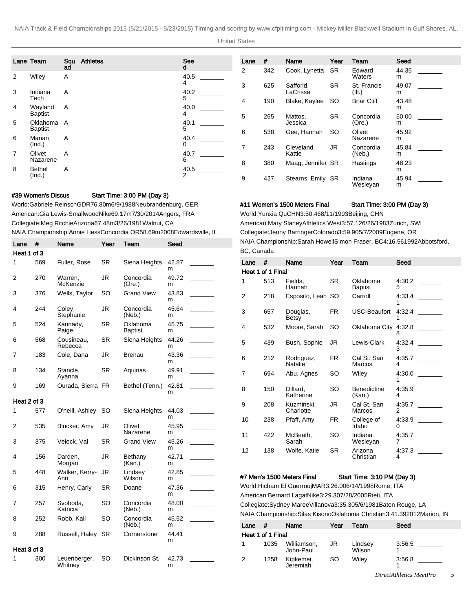United States

|                | Lane Team                | Sau     | <b>Athletes</b> | <b>See</b>     | Lane           | #   | Name                  | Year      | Team                  | Seed       |  |
|----------------|--------------------------|---------|-----------------|----------------|----------------|-----|-----------------------|-----------|-----------------------|------------|--|
| 2              | Wiley                    | ad<br>A |                 | d<br>40.5      | $\overline{2}$ | 342 | Cook, Lynetta         | SR.       | Edward<br>Waters      | 44.35<br>m |  |
| 3              | Indiana                  | A       |                 | 4<br>40.2      | 3              | 625 | Safforld.<br>LaCrissa | <b>SR</b> | St. Francis<br>(III.) | 49.07<br>m |  |
| 4              | Tech<br>Wayland          | A       |                 | 5<br>40.0      | 4              | 190 | Blake, Kaylee         | SO.       | <b>Briar Cliff</b>    | 43.48<br>m |  |
| 5              | Baptist<br>Oklahoma A    |         |                 | 4<br>40.1      | 5              | 265 | Mattos,<br>Jessica    | <b>SR</b> | Concordia<br>(Ore.)   | 50.00<br>m |  |
| 6              | <b>Baptist</b><br>Marian | A       |                 | 5<br>40.4      | 6              | 538 | Gee, Hannah           | SO.       | Olivet<br>Nazarene    | 45.92<br>m |  |
| $\overline{7}$ | (Ind.)<br>Olivet         | A       |                 | 0<br>40.7      | $\overline{7}$ | 243 | Cleveland.<br>Kattie  | <b>JR</b> | Concordia<br>(Neb.)   | 45.84<br>m |  |
| 8              | Nazarene<br>Bethel       | A       |                 | 6<br>40.5      | 8              | 380 | Maag, Jennifer SR     |           | Hastings              | 48.23<br>m |  |
|                | (Ind.)                   |         |                 | $\overline{2}$ | 9              | 427 | Stearns, Emily SR     |           | Indiana<br>Wesleyan   | 45.94<br>m |  |

## #39 Women's Discus Start Time: 3:00 PM (Day 3)

World: Gabriele Reinsch GDR 76.80m 6/9/1988 Neubrandenburg, GER American: Gia Lewis-Smallwood Nike 69.17m 7/30/2014 Angers, FRA Collegiate: Meg Ritchie Arizona 67.48m 3/26/1981 Walnut, CA NAIA Championship: Annie Hess Concordia OR 58.69m 2008Edwardsville, IL

| Lane        | #   | Name                    | Year | Team                       | Seed       |  |
|-------------|-----|-------------------------|------|----------------------------|------------|--|
| Heat 1 of 3 |     |                         |      |                            |            |  |
| 1           | 569 | Fuller, Rose            | SR   | Siena Heights              | 42.87<br>m |  |
| 2           | 270 | Warren,<br>McKenzie     | JR   | Concordia<br>(Ore.)        | 49.72<br>m |  |
| 3           | 376 | Wells, Taylor           | SO   | <b>Grand View</b>          | 43.83<br>m |  |
| 4           | 244 | Coley,<br>Stephanie     | JR   | Concordia<br>(Neb.)        | 45.64<br>m |  |
| 5           | 524 | Kannady,<br>Paige       | SR   | Oklahoma<br><b>Baptist</b> | 45.75<br>m |  |
| 6           | 568 | Cousineau,<br>Rebecca   | SR   | Siena Heights              | 44.26<br>m |  |
| 7           | 183 | Cole, Dana              | JR   | <b>Brenau</b>              | 43.36<br>m |  |
| 8           | 134 | Stancle,<br>Ayanna      | SR   | Aquinas                    | 49.91<br>m |  |
| 9           | 169 | Ourada, Sierra FR       |      | Bethel (Tenn.)             | 42.81<br>m |  |
| Heat 2 of 3 |     |                         |      |                            |            |  |
| 1           | 577 | O'neill, Ashley         | SO   | Siena Heights              | 44.03<br>m |  |
| 2           | 535 | Blucker, Amy            | JR   | Olivet<br>Nazarene         | 45.95<br>m |  |
| 3           | 375 | Veiock, Val             | SR   | <b>Grand View</b>          | 45.26<br>m |  |
| 4           | 156 | Darden,<br>Morgan       | JR   | Bethany<br>(Kan.)          | 42.71<br>m |  |
| 5           | 448 | Walker, Kerry-<br>Ann   | JR   | Lindsey<br>Wilson          | 42.85<br>m |  |
| 6           | 315 | Henry, Carly            | SR   | Doane                      | 47.36<br>m |  |
| 7           | 257 | Svoboda,<br>Katricia    | SO   | Concordia<br>(Neb.)        | 48.00<br>m |  |
| 8           | 252 | Robb, Kali              | SO   | Concordia<br>(Neb.)        | 45.52<br>m |  |
| 9           | 288 | Russell, Haley          | SR   | Cornerstone                | 44.41<br>m |  |
| Heat 3 of 3 |     |                         |      |                            |            |  |
| 1           | 300 | Leuenberger,<br>Whitney | SO   | Dickinson St.              | 42.73<br>m |  |

#11 Women's 1500 Meters Final Start Time: 3:00 PM (Day 3)

World: Yunxia Qu CHN 3:50.46 8/11/1993 Beijing, CHN American: Mary Slaney Athletics West 3:57.12 6/26/1983 Zurich, SWI Collegiate: Jenny Barringer Colorado 3:59.90 5/7/2009 Eugene, OR NAIA Championship: Sarah Howell Simon Fraser, BC 4:16.56 1992Abbotsford, BC, Canada

| Lane | #                 | Name                    | Year      | Team                         | Seed        |
|------|-------------------|-------------------------|-----------|------------------------------|-------------|
|      | Heat 1 of 1 Final |                         |           |                              |             |
| 1    | 513               | Fields,<br>Hannah       | SR.       | Oklahoma<br><b>Baptist</b>   | 4:30.2<br>5 |
| 2    | 218               | Esposito, Leah SO       |           | Carroll                      | 4:33.4<br>1 |
| 3    | 657               | Douglas,<br>Betsy       | FR.       | USC-Beaufort                 | 4:32.4<br>1 |
| 4    | 532               | Moore, Sarah            | <b>SO</b> | Oklahoma City                | 4.32.8<br>8 |
| 5    | 439               | Bush, Sophie            | JR        | Lewis-Clark                  | 4:32.4<br>3 |
| 6    | 212               | Rodriguez,<br>Natalie   | FR.       | Cal St. San<br>Marcos        | 4:35.7<br>4 |
| 7    | 694               | Abu, Agnes              | SO        | Wiley                        | 4:30.0<br>1 |
| 8    | 150               | Dillard.<br>Katherine   | SO        | <b>Benedictine</b><br>(Kan.) | 4:35.9<br>4 |
| 9    | 208               | Kuzminski,<br>Charlotte | JR        | Cal St. San<br>Marcos        | 4:35.7<br>2 |
| 10   | 238               | Pfaff, Amy              | FR        | College of<br>Idaho          | 4:33.9<br>0 |
| 11   | 422               | McBeath.<br>Sarah       | SO        | Indiana<br>Wesleyan          | 4:35.7<br>7 |
| 12   | 138               | Wolfe, Katie            | SR        | Arizona<br>Christian         | 4:37.3<br>4 |

### #7 Men's 1500 Meters Final Start Time: 3:10 PM (Day 3)

World: Hicham El Guerrouj MAR 3:26.00 6/14/1998 Rome, ITA American: Bernard Lagat Nike 3:29.30 7/28/2005 Rieti, ITA Collegiate: Sydney Maree Villanova 3:35.30 5/6/1981 Baton Rouge, LA NAIA Championship: Silas Kisorio Oklahoma Christian 3:41.39 2012Marion, IN

| Lane              | #    | Name                     | Year | Team              | Seed   |  |  |  |
|-------------------|------|--------------------------|------|-------------------|--------|--|--|--|
| Heat 1 of 1 Final |      |                          |      |                   |        |  |  |  |
|                   | 1035 | Williamson,<br>John-Paul | JR   | Lindsey<br>Wilson | 3:56.5 |  |  |  |
| 2                 | 1258 | Kipkemei,<br>Jeremiah    | SO   | Wilev             | 3:56.8 |  |  |  |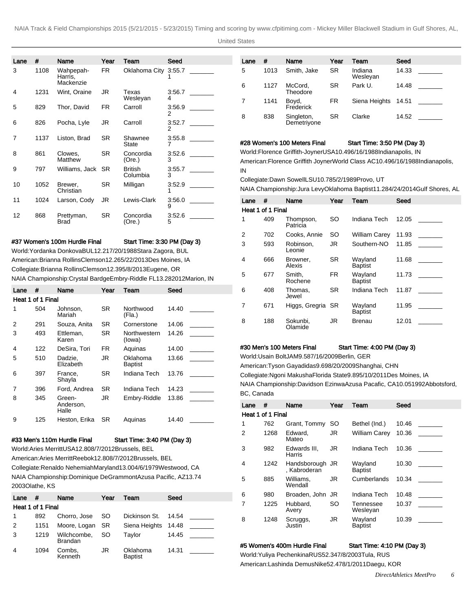United States

| Lane | #    | Name                              | Year      | Team                       | Seed        |  |
|------|------|-----------------------------------|-----------|----------------------------|-------------|--|
| 3    | 1108 | Wahpepah-<br>Harris,<br>Mackenzie | FR.       | Oklahoma City              | 3:55.7      |  |
| 4    | 1231 | Wint, Oraine                      | JR        | Texas<br>Wesleyan          | 3:56.7<br>4 |  |
| 5    | 829  | Thor, David                       | FR.       | Carroll                    | 3:56.9<br>2 |  |
| 6    | 826  | Pocha, Lyle                       | JR        | Carroll                    | 3:52.7<br>2 |  |
| 7    | 1137 | Liston, Brad                      | <b>SR</b> | Shawnee<br>State           | 3:55.8<br>7 |  |
| 8    | 861  | Clowes,<br>Matthew                | <b>SR</b> | Concordia<br>(Ore.)        | 3:52.6<br>3 |  |
| 9    | 797  | Williams, Jack                    | -SR       | <b>British</b><br>Columbia | 3:55.7<br>3 |  |
| 10   | 1052 | Brewer,<br>Christian              | <b>SR</b> | Milligan                   | 3:52.9<br>1 |  |
| 11   | 1024 | Larson, Cody                      | JR        | Lewis-Clark                | 3:56.0<br>9 |  |
| 12   | 868  | Prettyman,<br><b>Brad</b>         | SR.       | Concordia<br>(Ore.)        | 3:52.6<br>5 |  |

## #37 Women's 100m Hurdle Final Start Time: 3:30 PM (Day 3)

World: Yordanka Donkova BUL 12.21 7/20/1988 Stara Zagora, BUL American: Brianna Rollins Clemson 12.26 5/22/2013 Des Moines, IA Collegiate: Brianna Rollins Clemson 12.39 5/8/2013 Eugene, OR NAIA Championship: Crystal Bardge Embry-Riddle FL 13.28 2012Marion, IN

| Lane | #                 | Name                         | Year | Team                   | Seed  |  |  |  |  |  |
|------|-------------------|------------------------------|------|------------------------|-------|--|--|--|--|--|
|      | Heat 1 of 1 Final |                              |      |                        |       |  |  |  |  |  |
| 1    | 504               | Johnson.<br>Mariah           | SR   | Northwood<br>(Fla.)    | 14.40 |  |  |  |  |  |
| 2    | 291               | Souza, Anita                 | SR.  | Cornerstone            | 14.06 |  |  |  |  |  |
| 3    | 493               | Ettleman,<br>Karen           | SR   | Northwestern<br>(lowa) | 14.26 |  |  |  |  |  |
| 4    | 122               | DeSira. Tori                 | FR   | Aquinas                | 14.00 |  |  |  |  |  |
| 5    | 510               | Dadzie,<br>Elizabeth         | JR   | Oklahoma<br>Baptist    | 13.66 |  |  |  |  |  |
| 6    | 397               | France.<br>Shayla            | SR   | Indiana Tech           | 13.76 |  |  |  |  |  |
| 7    | 396               | Ford. Andrea                 | SR   | Indiana Tech           | 14.23 |  |  |  |  |  |
| 8    | 345               | Green-<br>Anderson,<br>Halle | JR   | Embry-Riddle           | 13.86 |  |  |  |  |  |
| 9    | 125               | Heston, Erika                | SR   | Aquinas                | 14.40 |  |  |  |  |  |

## #33 Men's 110m Hurdle Final Start Time: 3:40 PM (Day 3)

World: Aries Merritt USA 12.80 8/7/2012 Brussels, BEL American: Aries Merritt Reebok 12.80 8/7/2012 Brussels, BEL Collegiate: Renaldo Nehemiah Maryland 13.00 4/6/1979 Westwood, CA NAIA Championship: Dominique DeGrammont Azusa Pacific, AZ 13.74 2003Olathe, KS

| Lane | #                 | Name                          | Year | Team                       | Seed  |
|------|-------------------|-------------------------------|------|----------------------------|-------|
|      | Heat 1 of 1 Final |                               |      |                            |       |
|      | 892               | Chorro, Jose                  | SO.  | Dickinson St.              | 14.54 |
| 2    | 1151              | Moore, Logan SR               |      | Siena Heights              | 14.48 |
| 3    | 1219              | Wilchcombe,<br><b>Brandan</b> | SO.  | Taylor                     | 14.45 |
| 4    | 1094              | Combs.<br>Kenneth             | JR   | Oklahoma<br><b>Baptist</b> | 14.31 |

| Lane | #    | Name                      | Year      | Team                | Seed  |  |
|------|------|---------------------------|-----------|---------------------|-------|--|
| 5    | 1013 | Smith, Jake               | <b>SR</b> | Indiana<br>Wesleyan | 14.33 |  |
| 6    | 1127 | McCord,<br>Theodore       | <b>SR</b> | Park U.             | 14.48 |  |
| 7    | 1141 | Boyd,<br>Frederick        | <b>FR</b> | Siena Heights       | 14.51 |  |
| 8    | 838  | Singleton,<br>Demetriyone | <b>SR</b> | Clarke              | 14.52 |  |

## #28 Women's 100 Meters Final Start Time: 3:50 PM (Day 3)

World: Florence Griffith-Joyner USA 10.49 6/16/1988 Indianapolis, IN American: Florence Griffith Joyner World Class AC 10.49 6/16/1988 Indianapolis, IN

Collegiate: Dawn Sowell LSU 10.78 5/2/1989 Provo, UT

NAIA Championship: Jura Levy Oklahoma Baptist 11.28 4/24/2014 Gulf Shores, AL

| Lane              | #   | Name                  | Year      | Team                      | Seed  |  |  |  |  |  |
|-------------------|-----|-----------------------|-----------|---------------------------|-------|--|--|--|--|--|
| Heat 1 of 1 Final |     |                       |           |                           |       |  |  |  |  |  |
| 1                 | 409 | Thompson,<br>Patricia | <b>SO</b> | Indiana Tech              | 12.05 |  |  |  |  |  |
| 2                 | 702 | Cooks, Annie          | <b>SO</b> | <b>William Carey</b>      | 11.93 |  |  |  |  |  |
| 3                 | 593 | Robinson,<br>Leonie   | JR.       | Southern-NO               | 11.85 |  |  |  |  |  |
| 4                 | 666 | Browner.<br>Alexis    | <b>SR</b> | Wayland<br><b>Baptist</b> | 11.68 |  |  |  |  |  |
| 5                 | 677 | Smith,<br>Rochene     | <b>FR</b> | Wayland<br><b>Baptist</b> | 11.73 |  |  |  |  |  |
| 6                 | 408 | Thomas.<br>Jewel      | <b>SR</b> | Indiana Tech              | 11.87 |  |  |  |  |  |
| 7                 | 671 | Higgs, Gregria SR     |           | Wayland<br><b>Baptist</b> | 11.95 |  |  |  |  |  |
| 8                 | 188 | Sokunbi.<br>Olamide   | JR        | <b>Brenau</b>             | 12.01 |  |  |  |  |  |

# #30 Men's 100 Meters Final Start Time: 4:00 PM (Day 3)

World: Usain Bolt JAM 9.58 7/16/2009 Berlin, GER

American: Tyson Gay adidas 9.69 8/20/2009 Shanghai, CHN

Collegiate: Ngoni Makusha Florida State 9.89 5/10/2011 Des Moines, IA

NAIA Championship: Davidson Ezinwa Azusa Pacafic, CA 10.05 1992Abbotsford, BC, Canada

| Lane | #                 | Name                            | Year      | Team                      | Seed  |
|------|-------------------|---------------------------------|-----------|---------------------------|-------|
|      | Heat 1 of 1 Final |                                 |           |                           |       |
| 1    | 762               | Grant, Tommy                    | SO        | Bethel (Ind.)             | 10.46 |
| 2    | 1268              | Edward.<br>Mateo                | JR.       | <b>William Carey</b>      | 10.36 |
| 3    | 982               | Edwards III.<br>Harris          | JR.       | Indiana Tech              | 10.36 |
| 4    | 1242              | Handsborough JR<br>, Kabroderan |           | Wayland<br><b>Baptist</b> | 10.30 |
| 5    | 885               | Williams,<br>Wendall            | JR        | Cumberlands               | 10.34 |
| 6    | 980               | Broaden, John                   | JR        | Indiana Tech              | 10.48 |
|      | 1225              | Hubbard.<br>Avery               | <b>SO</b> | Tennessee<br>Wesleyan     | 10.37 |
| 8    | 1248              | Scruggs,<br>Justin              | JR.       | Wayland<br><b>Baptist</b> | 10.39 |
|      |                   |                                 |           |                           |       |

#### #5 Women's 400m Hurdle Final Start Time: 4:10 PM (Day 3)

World: Yuliya Pechenkina RUS 52.34 7/8/2003 Tula, RUS American: Lashinda Demus Nike 52.47 8/1/2011 Daegu, KOR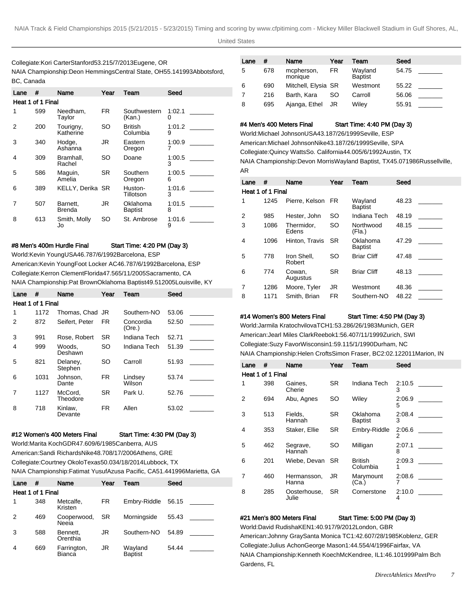# Collegiate: Kori Carter Stanford 53.21 5/7/2013 Eugene, OR NAIA Championship: Deon Hemmings Central State, OH 55.14 1993Abbotsford, BC, Canada

| Lane | #                 | Name                    | Year | Team                       | Seed        |
|------|-------------------|-------------------------|------|----------------------------|-------------|
|      | Heat 1 of 1 Final |                         |      |                            |             |
| 1    | 599               | Needham,<br>Taylor      | FR.  | Southwestern<br>(Kan.)     | 1:02.1<br>0 |
| 2    | 200               | Tourigny,<br>Katherine  | SO   | British<br>Columbia        | 1:01.2<br>9 |
| 3    | 340               | Hodge,<br>Ashanna       | JR   | Eastern<br>Oregon          | 1:00.9<br>7 |
| 4    | 309               | Bramhall,<br>Rachel     | SO   | Doane                      | 1:00.5<br>3 |
| 5    | 586               | Maguin,<br>Amelia       | SR.  | Southern<br>Oregon         | 1:00.5<br>6 |
| 6    | 389               | <b>KELLY, Derika SR</b> |      | Huston-<br>Tillotson       | 1:01.6<br>3 |
| 7    | 507               | Barnett.<br>Brenda      | JR   | Oklahoma<br><b>Baptist</b> | 1:01.5<br>8 |
| 8    | 613               | Smith, Molly<br>Jo      | SO   | St. Ambrose                | 1:01.6<br>9 |

#8 Men's 400m Hurdle Final Start Time: 4:20 PM (Day 3)

World: Kevin Young USA 46.78 7/6/1992 Barcelona, ESP American: Kevin Young Foot Locker AC 46.78 7/6/1992 Barcelona, ESP Collegiate: Kerron Clement Florida 47.56 5/11/2005 Sacramento, CA NAIA Championship: Pat Brown Oklahoma Baptist 49.51 2005Louisville, KY

| Lane | #                 | Name                | Year      | Team                | Seed  |  |
|------|-------------------|---------------------|-----------|---------------------|-------|--|
|      | Heat 1 of 1 Final |                     |           |                     |       |  |
| 1    | 1172              | Thomas, Chad JR     |           | Southern-NO         | 53.06 |  |
| 2    | 872               | Seifert. Peter      | FR.       | Concordia<br>(Ore.) | 52.50 |  |
| 3    | 991               | Rose, Robert        | <b>SR</b> | Indiana Tech        | 52.71 |  |
| 4    | 999               | Woods.<br>Deshawn   | SO        | Indiana Tech        | 51.39 |  |
| 5    | 821               | Delaney,<br>Stephen | <b>SO</b> | Carroll             | 51.93 |  |
| 6    | 1031              | Johnson.<br>Dante   | FR.       | Lindsey<br>Wilson   | 53.74 |  |
| 7    | 1127              | McCord,<br>Theodore | <b>SR</b> | Park U.             | 52.76 |  |
| 8    | 718               | Kinlaw,<br>Devante  | FR.       | Allen               | 53.02 |  |

#### #12 Women's 400 Meters Final Start Time: 4:30 PM (Day 3)

World: Marita Koch GDR 47.60 9/6/1985 Canberra, AUS American: Sandi Richards Nike 48.70 8/17/2006 Athens, GRE

Collegiate: Courtney Okolo Texas 50.03 4/18/2014 Lubbock, TX

NAIA Championship: Fatimat Yusuf Azusa Pacific, CA 51.44 1996Marietta, GA

| Lane | #                 | Name                  | Year      | Team               | Seed  |
|------|-------------------|-----------------------|-----------|--------------------|-------|
|      | Heat 1 of 1 Final |                       |           |                    |       |
| 1    | 348               | Metcalfe.<br>Kristen  | FR        | Embry-Riddle       | 56.15 |
| 2    | 469               | Cooperwood,<br>Neeia  | <b>SR</b> | Morningside        | 55.43 |
| 3    | 588               | Bennett.<br>Orenthia  | JR        | Southern-NO        | 54.89 |
| 4    | 669               | Farrington,<br>Bianca | JR.       | Wayland<br>Baptist | 54.44 |

| Lane | #   | Name                  | Year | Team                      | Seed  |
|------|-----|-----------------------|------|---------------------------|-------|
| 5    | 678 | mcpherson,<br>monique | FR   | Wayland<br><b>Baptist</b> | 54.75 |
| 6    | 690 | Mitchell, Elysia SR   |      | Westmont                  | 55.22 |
| 7    | 216 | Barth, Kara           | SO.  | Carroll                   | 56.06 |
| 8    | 695 | Ajanga, Ethel         | JR   | Wiley                     | 55.91 |

#4 Men's 400 Meters Final Start Time: 4:40 PM (Day 3)

World: Michael Johnson USA 43.18 7/26/1999 Seville, ESP American: Michael Johnson Nike 43.18 7/26/1999 Seville, SPA Collegiate: Quincy Watts So. California 44.00 5/6/1992 Austin, TX NAIA Championship: Devon Morris Wayland Baptist, TX 45.07 1986Russellville, AR

| Lane           | #                 | Name                  | Year      | Team                       | Seed  |
|----------------|-------------------|-----------------------|-----------|----------------------------|-------|
|                | Heat 1 of 1 Final |                       |           |                            |       |
| 1              | 1245              | Pierre, Kelson FR     |           | Wayland<br><b>Baptist</b>  | 48.23 |
| $\overline{2}$ | 985               | Hester, John          | <b>SO</b> | Indiana Tech               | 48.19 |
| 3              | 1086              | Thermidor,<br>Edens   | <b>SO</b> | Northwood<br>(Fla.)        | 48.15 |
| 4              | 1096              | Hinton, Travis        | SR        | Oklahoma<br><b>Baptist</b> | 47.29 |
| 5              | 778               | Iron Shell.<br>Robert | SO        | <b>Briar Cliff</b>         | 47.48 |
| 6              | 774               | Cowan,<br>Augustus    | SR        | <b>Briar Cliff</b>         | 48.13 |
| 7              | 1286              | Moore, Tyler          | JR        | Westmont                   | 48.36 |
| 8              | 1171              | Smith, Brian          | FR        | Southern-NO                | 48.22 |

### #14 Women's 800 Meters Final Start Time: 4:50 PM (Day 3)

World: Jarmila Kratochvilova TCH 1:53.28 6/26/1983 Munich, GER American: Jearl Miles Clark Reebok 1:56.40 7/11/1999 Zurich, SWI Collegiate: Suzy Favor Wisconsin 1:59.11 5/1/1990 Durham, NC NAIA Championship: Helen Crofts Simon Fraser, BC 2:02.12 2011Marion, IN

| Lane           | #                 | Name                  | Year      | Team                       | Seed        |
|----------------|-------------------|-----------------------|-----------|----------------------------|-------------|
|                | Heat 1 of 1 Final |                       |           |                            |             |
| 1              | 398               | Gaines.<br>Cherie     | SR.       | Indiana Tech               | 2:10.5<br>3 |
| $\overline{2}$ | 694               | Abu, Agnes            | SO        | Wiley                      | 2:06.9<br>5 |
| 3              | 513               | Fields,<br>Hannah     | SR.       | Oklahoma<br><b>Baptist</b> | 2:08.4<br>3 |
| 4              | 353               | Staker, Ellie         | <b>SR</b> | Embry-Riddle               | 2:06.6<br>2 |
| 5              | 462               | Segrave,<br>Hannah    | SO        | Milligan                   | 2:07.1<br>8 |
| 6              | 201               | Wiebe, Devan          | -SR       | <b>British</b><br>Columbia | 2:09.3<br>1 |
| 7              | 460               | Hermansson,<br>Hanna  | JR        | Marymount<br>(Ca)          | 2:08.6      |
| 8              | 285               | Oosterhouse,<br>Julie | SR.       | Cornerstone                | 2:10.0<br>4 |

#### #21 Men's 800 Meters Final Start Time: 5:00 PM (Day 3)

World: David Rudisha KEN 1:40.91 7/9/2012 London, GBR American: Johnny Gray Santa Monica TC 1:42.60 7/28/1985 Koblenz, GER Collegiate: Julius Achon George Mason 1:44.55 4/4/1996 Fairfax, VA NAIA Championship: Kenneth Koech McKendree, IL 1:46.10 1999Palm Bch Gardens, FL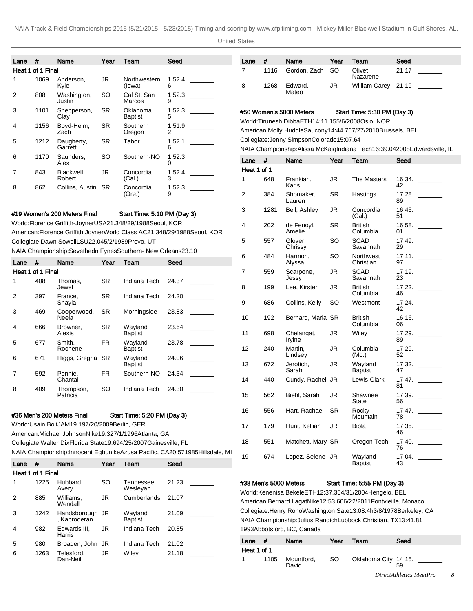United States

| Lane | #                 | Name                                                                           | Year | Team                        | Seed        |  |
|------|-------------------|--------------------------------------------------------------------------------|------|-----------------------------|-------------|--|
|      | Heat 1 of 1 Final |                                                                                |      |                             |             |  |
| 1    | 1069              | Anderson,<br>Kyle                                                              | JR   | Northwestern<br>(lowa)      | 1:52.4<br>6 |  |
| 2    | 808               | Washington,<br>Justin                                                          | SO   | Cal St. San<br>Marcos       | 1:52.3<br>9 |  |
| 3    | 1101              | Shepperson,<br>Clay                                                            | SR   | Oklahoma<br><b>Baptist</b>  | 1:52.3<br>5 |  |
| 4    | 1156              | Boyd-Helm,<br>Zach                                                             | SR.  | Southern<br>Oregon          | 1:51.9<br>2 |  |
| 5    | 1212              | Daugherty,<br>Garrett                                                          | SR   | Tabor                       | 1:52.1<br>6 |  |
| 6    | 1170              | Saunders.<br>Alex                                                              | SO   | Southern-NO                 | 1:52.3<br>0 |  |
| 7    | 843               | Blackwell,<br>Robert                                                           | JR   | Concordia<br>(Cal.)         | 1:52.4<br>3 |  |
| 8    | 862               | Collins, Austin                                                                | SR   | Concordia<br>(Ore.)         | 1:52.3<br>9 |  |
|      |                   | #19 Women's 200 Meters Final                                                   |      |                             |             |  |
|      |                   | World: Florence Griffith-Joyner USA 21.34 8/29/1988 Seoul, KOR                 |      | Start Time: 5:10 PM (Day 3) |             |  |
|      |                   | American: Florence Griffith Joyner World Class AC 21.34 8/29/1988 Seoul, KOR   |      |                             |             |  |
|      |                   | Collegiate: Dawn Sowell LSU 22.04 5/2/1989 Provo, UT                           |      |                             |             |  |
|      |                   | NAIA Championship: Sevethedn Fynes Southern- New Orleans 23.10                 |      |                             |             |  |
|      |                   |                                                                                |      |                             |             |  |
| Lane | #                 | Name                                                                           | Year | Team                        | Seed        |  |
|      | Heat 1 of 1 Final |                                                                                |      |                             |             |  |
| 1    | 408               | Thomas,<br>Jewel                                                               | SR.  | Indiana Tech                | 24.37       |  |
| 2    | 397               | France,<br>Shayla                                                              | SR   | Indiana Tech                | 24.20       |  |
| 3    | 469               | Cooperwood,<br>Neeia                                                           | SR   | Morningside                 | 23.83       |  |
| 4    | 666               | Browner,<br>Alexis                                                             | SR.  | Wayland<br><b>Baptist</b>   | 23.64       |  |
| 5    | 677               | Smith,<br>Rochene                                                              | FR.  | Wayland<br><b>Baptist</b>   | 23.78       |  |
| 6    | 671               | Higgs, Gregria                                                                 | SR   | Wayland<br><b>Baptist</b>   | 24.06       |  |
| 7    | 592               | Pennie,<br>Chantal                                                             | FR.  | Southern-NO                 | 24.34       |  |
| 8    | 409               | Thompson,<br>Patricia                                                          | SO   | Indiana Tech                | 24.30       |  |
|      |                   | #36 Men's 200 Meters Final                                                     |      | Start Time: 5:20 PM (Day 3) |             |  |
|      |                   | World: Usain Bolt JAM 19.19 7/20/2009 Berlin, GER                              |      |                             |             |  |
|      |                   | American: Michael Johnson Nike 19.32 7/1/1996 Atlanta, GA                      |      |                             |             |  |
|      |                   | Collegiate: Walter Dix Florida State 19.69 4/25/2007 Gainesville, FL           |      |                             |             |  |
|      |                   | NAIA Championship: Innocent Egbunike Azusa Pacific, CA 20.57 1985Hillsdale, MI |      |                             |             |  |
| Lane | #                 | Name                                                                           | Year | Team                        | Seed        |  |
|      | Heat 1 of 1 Final |                                                                                |      |                             |             |  |
| 1    | 1225              | Hubbard,<br>Avery                                                              | SO   | Tennessee<br>Wesleyan       | 21.23       |  |
| 2    | 885               | Williams,<br>Wendall                                                           | JR   | Cumberlands                 | 21.07       |  |
| 3    | 1242              | Handsborough<br>, Kabroderan                                                   | JR   | Wayland<br><b>Baptist</b>   | 21.09       |  |
| 4    | 982               | Edwards III,<br>Harris                                                         | JR   | Indiana Tech                | 20.85       |  |
| 5    | 980               | Broaden, John JR                                                               |      | Indiana Tech                | 21.02       |  |
| 6    | 1263              | Telesford,<br>Dan-Neil                                                         | JR   | Wiley                       | 21.18       |  |

| Lane | #    | Name                 | Year | Team                | Seed  |
|------|------|----------------------|------|---------------------|-------|
|      |      | 1116 Gordon, Zach SO |      | Olivet<br>Nazarene  | 21.17 |
| 8    | 1268 | Edward,<br>Mateo     | JR   | William Carey 21.19 |       |

#50 Women's 5000 Meters Start Time: 5:30 PM (Day 3) World: Tirunesh Dibba ETH 14:11.15 5/6/2008 Oslo, NOR American: Molly Huddle Saucony 14:44.76 7/27/2010 Brussels, BEL

Collegiate: Jenny Simpson Colorado 15:07.64

NAIA Championship: Alissa McKaig Indiana Tech 16:39.04 2008Edwardsville, IL

| Lane        | #    | Name                 | Year      | Team                       | Seed         |
|-------------|------|----------------------|-----------|----------------------------|--------------|
| Heat 1 of 1 |      |                      |           |                            |              |
| 1           | 648  | Frankian,<br>Karis   | <b>JR</b> | The Masters                | 16:34.<br>42 |
| 2           | 384  | Shomaker,<br>Lauren  | SR        | Hastings                   | 17:28.<br>89 |
| 3           | 1281 | Bell, Ashley         | JR        | Concordia<br>(Cal.)        | 16:45.<br>51 |
| 4           | 202  | de Fenoyl,<br>Amelie | <b>SR</b> | <b>British</b><br>Columbia | 16:58.<br>01 |
| 5           | 557  | Glover.<br>Chrissy   | SO        | <b>SCAD</b><br>Savannah    | 17:49.<br>29 |
| 6           | 484  | Harmon,<br>Alyssa    | SO        | Northwest<br>Christian     | 17:11.<br>97 |
| 7           | 559  | Scarpone,<br>Jessy   | JR        | <b>SCAD</b><br>Savannah    | 17:19.<br>23 |
| 8           | 199  | Lee, Kirsten         | JR        | <b>British</b><br>Columbia | 17:22.<br>46 |
| 9           | 686  | Collins, Kelly       | SO        | Westmont                   | 17:24.<br>42 |
| 10          | 192  | Bernard, Maria SR    |           | British<br>Columbia        | 16:16.<br>06 |
| 11          | 698  | Chelangat,<br>Iryine | JR        | Wiley                      | 17:29.<br>89 |
| 12          | 240  | Martin.<br>Lindsey   | <b>JR</b> | Columbia<br>(Mo.)          | 17:29.<br>52 |
| 13          | 672  | Jerotich,<br>Sarah   | <b>JR</b> | Wayland<br><b>Baptist</b>  | 17:32.<br>47 |
| 14          | 440  | Cundy, Rachel        | JR        | Lewis-Clark                | 17:47.<br>81 |
| 15          | 562  | Biehl, Sarah         | <b>JR</b> | Shawnee<br>State           | 17:39.<br>56 |
| 16          | 556  | Hart, Rachael        | SR        | Rocky<br>Mountain          | 17:47.<br>78 |
| 17          | 179  | Hunt, Kellian        | <b>JR</b> | Biola                      | 17:35.<br>46 |
| 18          | 551  | Matchett, Mary SR    |           | Oregon Tech                | 17:40.<br>76 |
| 19          | 674  | Lopez, Selene JR     |           | Wayland<br><b>Baptist</b>  | 17:04.<br>43 |

# #38 Men's 5000 Meters Start Time: 5:55 PM (Day 3)

World: Kenenisa Bekele ETH 12:37.35 4/31/2004 Hengelo, BEL American: Bernard Lagat Nike 12:53.60 6/22/2011 Fontvieille, Monaco Collegiate: Henry Rono Washington Sate 13:08.4h 3/8/1978 Berkeley, CA NAIA Championship: Julius Randich Lubbock Christian, TX 13:41.81 1993Abbotsford, BC, Canada

| Lane         | #    | Name                | Year | Team                 | Seed                    |  |
|--------------|------|---------------------|------|----------------------|-------------------------|--|
| Heat 1 of 1  |      |                     |      |                      |                         |  |
| $\mathbf{1}$ | 1105 | Mountford,<br>David | SO.  | Oklahoma City 14:15. | 59                      |  |
|              |      |                     |      |                      | DirectAthletics MeetPro |  |